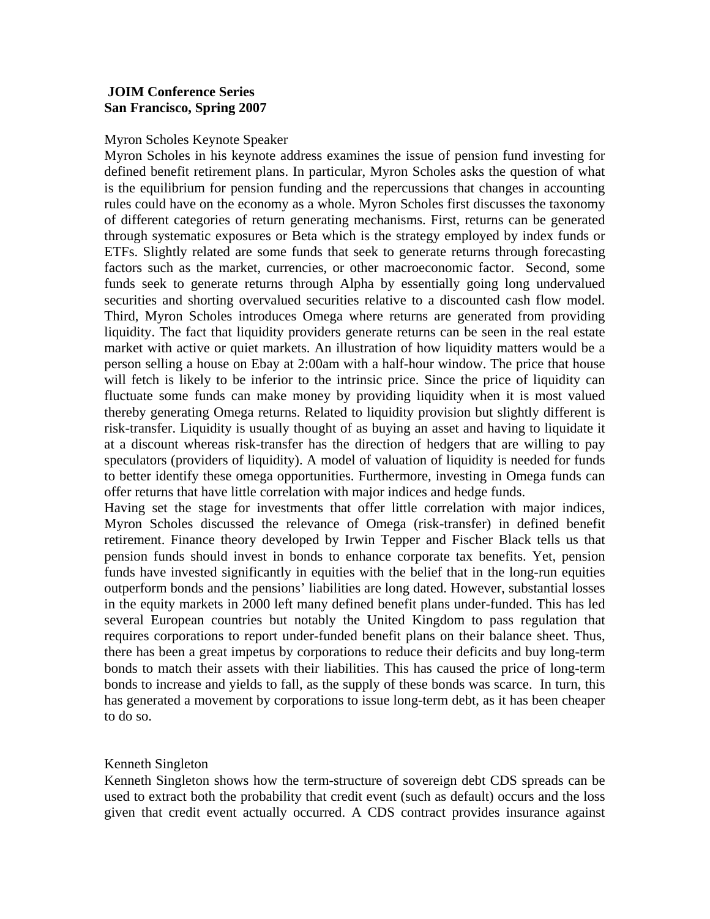# **JOIM Conference Series San Francisco, Spring 2007**

# Myron Scholes Keynote Speaker

Myron Scholes in his keynote address examines the issue of pension fund investing for defined benefit retirement plans. In particular, Myron Scholes asks the question of what is the equilibrium for pension funding and the repercussions that changes in accounting rules could have on the economy as a whole. Myron Scholes first discusses the taxonomy of different categories of return generating mechanisms. First, returns can be generated through systematic exposures or Beta which is the strategy employed by index funds or ETFs. Slightly related are some funds that seek to generate returns through forecasting factors such as the market, currencies, or other macroeconomic factor. Second, some funds seek to generate returns through Alpha by essentially going long undervalued securities and shorting overvalued securities relative to a discounted cash flow model. Third, Myron Scholes introduces Omega where returns are generated from providing liquidity. The fact that liquidity providers generate returns can be seen in the real estate market with active or quiet markets. An illustration of how liquidity matters would be a person selling a house on Ebay at 2:00am with a half-hour window. The price that house will fetch is likely to be inferior to the intrinsic price. Since the price of liquidity can fluctuate some funds can make money by providing liquidity when it is most valued thereby generating Omega returns. Related to liquidity provision but slightly different is risk-transfer. Liquidity is usually thought of as buying an asset and having to liquidate it at a discount whereas risk-transfer has the direction of hedgers that are willing to pay speculators (providers of liquidity). A model of valuation of liquidity is needed for funds to better identify these omega opportunities. Furthermore, investing in Omega funds can offer returns that have little correlation with major indices and hedge funds.

Having set the stage for investments that offer little correlation with major indices, Myron Scholes discussed the relevance of Omega (risk-transfer) in defined benefit retirement. Finance theory developed by Irwin Tepper and Fischer Black tells us that pension funds should invest in bonds to enhance corporate tax benefits. Yet, pension funds have invested significantly in equities with the belief that in the long-run equities outperform bonds and the pensions' liabilities are long dated. However, substantial losses in the equity markets in 2000 left many defined benefit plans under-funded. This has led several European countries but notably the United Kingdom to pass regulation that requires corporations to report under-funded benefit plans on their balance sheet. Thus, there has been a great impetus by corporations to reduce their deficits and buy long-term bonds to match their assets with their liabilities. This has caused the price of long-term bonds to increase and yields to fall, as the supply of these bonds was scarce. In turn, this has generated a movement by corporations to issue long-term debt, as it has been cheaper to do so.

# Kenneth Singleton

Kenneth Singleton shows how the term-structure of sovereign debt CDS spreads can be used to extract both the probability that credit event (such as default) occurs and the loss given that credit event actually occurred. A CDS contract provides insurance against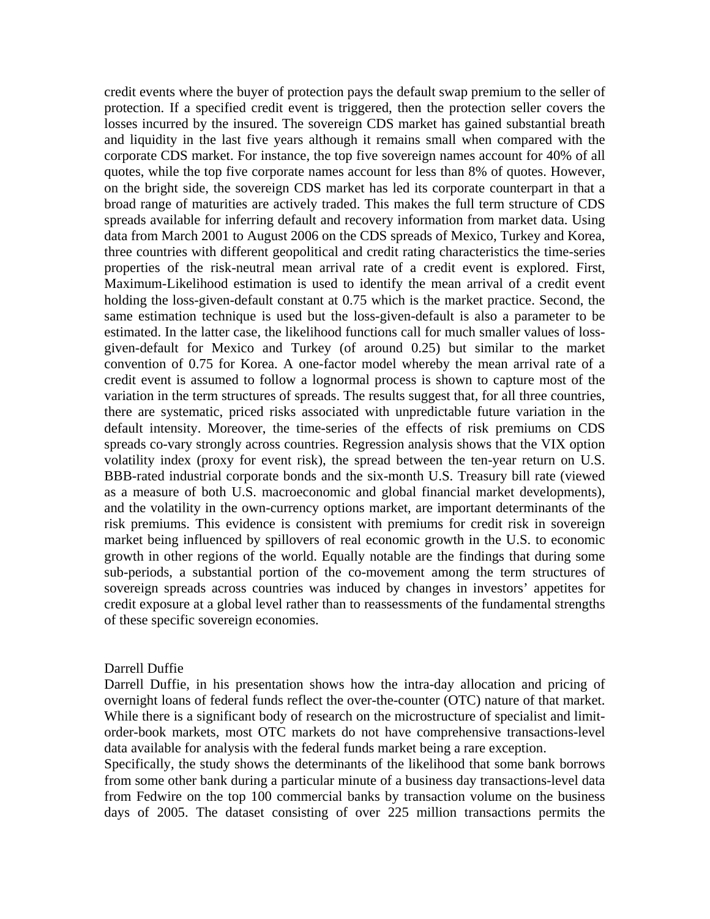credit events where the buyer of protection pays the default swap premium to the seller of protection. If a specified credit event is triggered, then the protection seller covers the losses incurred by the insured. The sovereign CDS market has gained substantial breath and liquidity in the last five years although it remains small when compared with the corporate CDS market. For instance, the top five sovereign names account for 40% of all quotes, while the top five corporate names account for less than 8% of quotes. However, on the bright side, the sovereign CDS market has led its corporate counterpart in that a broad range of maturities are actively traded. This makes the full term structure of CDS spreads available for inferring default and recovery information from market data. Using data from March 2001 to August 2006 on the CDS spreads of Mexico, Turkey and Korea, three countries with different geopolitical and credit rating characteristics the time-series properties of the risk-neutral mean arrival rate of a credit event is explored. First, Maximum-Likelihood estimation is used to identify the mean arrival of a credit event holding the loss-given-default constant at 0.75 which is the market practice. Second, the same estimation technique is used but the loss-given-default is also a parameter to be estimated. In the latter case, the likelihood functions call for much smaller values of lossgiven-default for Mexico and Turkey (of around 0.25) but similar to the market convention of 0.75 for Korea. A one-factor model whereby the mean arrival rate of a credit event is assumed to follow a lognormal process is shown to capture most of the variation in the term structures of spreads. The results suggest that, for all three countries, there are systematic, priced risks associated with unpredictable future variation in the default intensity. Moreover, the time-series of the effects of risk premiums on CDS spreads co-vary strongly across countries. Regression analysis shows that the VIX option volatility index (proxy for event risk), the spread between the ten-year return on U.S. BBB-rated industrial corporate bonds and the six-month U.S. Treasury bill rate (viewed as a measure of both U.S. macroeconomic and global financial market developments), and the volatility in the own-currency options market, are important determinants of the risk premiums. This evidence is consistent with premiums for credit risk in sovereign market being influenced by spillovers of real economic growth in the U.S. to economic growth in other regions of the world. Equally notable are the findings that during some sub-periods, a substantial portion of the co-movement among the term structures of sovereign spreads across countries was induced by changes in investors' appetites for credit exposure at a global level rather than to reassessments of the fundamental strengths of these specific sovereign economies.

#### Darrell Duffie

Darrell Duffie, in his presentation shows how the intra-day allocation and pricing of overnight loans of federal funds reflect the over-the-counter (OTC) nature of that market. While there is a significant body of research on the microstructure of specialist and limitorder-book markets, most OTC markets do not have comprehensive transactions-level data available for analysis with the federal funds market being a rare exception.

Specifically, the study shows the determinants of the likelihood that some bank borrows from some other bank during a particular minute of a business day transactions-level data from Fedwire on the top 100 commercial banks by transaction volume on the business days of 2005. The dataset consisting of over 225 million transactions permits the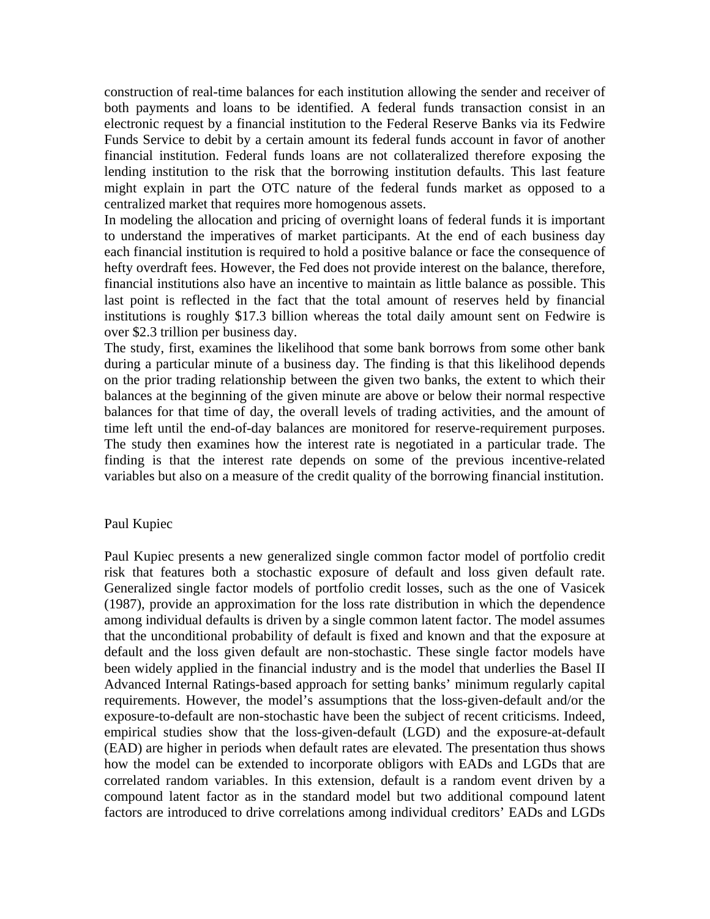construction of real-time balances for each institution allowing the sender and receiver of both payments and loans to be identified. A federal funds transaction consist in an electronic request by a financial institution to the Federal Reserve Banks via its Fedwire Funds Service to debit by a certain amount its federal funds account in favor of another financial institution. Federal funds loans are not collateralized therefore exposing the lending institution to the risk that the borrowing institution defaults. This last feature might explain in part the OTC nature of the federal funds market as opposed to a centralized market that requires more homogenous assets.

In modeling the allocation and pricing of overnight loans of federal funds it is important to understand the imperatives of market participants. At the end of each business day each financial institution is required to hold a positive balance or face the consequence of hefty overdraft fees. However, the Fed does not provide interest on the balance, therefore, financial institutions also have an incentive to maintain as little balance as possible. This last point is reflected in the fact that the total amount of reserves held by financial institutions is roughly \$17.3 billion whereas the total daily amount sent on Fedwire is over \$2.3 trillion per business day.

The study, first, examines the likelihood that some bank borrows from some other bank during a particular minute of a business day. The finding is that this likelihood depends on the prior trading relationship between the given two banks, the extent to which their balances at the beginning of the given minute are above or below their normal respective balances for that time of day, the overall levels of trading activities, and the amount of time left until the end-of-day balances are monitored for reserve-requirement purposes. The study then examines how the interest rate is negotiated in a particular trade. The finding is that the interest rate depends on some of the previous incentive-related variables but also on a measure of the credit quality of the borrowing financial institution.

# Paul Kupiec

Paul Kupiec presents a new generalized single common factor model of portfolio credit risk that features both a stochastic exposure of default and loss given default rate. Generalized single factor models of portfolio credit losses, such as the one of Vasicek (1987), provide an approximation for the loss rate distribution in which the dependence among individual defaults is driven by a single common latent factor. The model assumes that the unconditional probability of default is fixed and known and that the exposure at default and the loss given default are non-stochastic. These single factor models have been widely applied in the financial industry and is the model that underlies the Basel II Advanced Internal Ratings-based approach for setting banks' minimum regularly capital requirements. However, the model's assumptions that the loss-given-default and/or the exposure-to-default are non-stochastic have been the subject of recent criticisms. Indeed, empirical studies show that the loss-given-default (LGD) and the exposure-at-default (EAD) are higher in periods when default rates are elevated. The presentation thus shows how the model can be extended to incorporate obligors with EADs and LGDs that are correlated random variables. In this extension, default is a random event driven by a compound latent factor as in the standard model but two additional compound latent factors are introduced to drive correlations among individual creditors' EADs and LGDs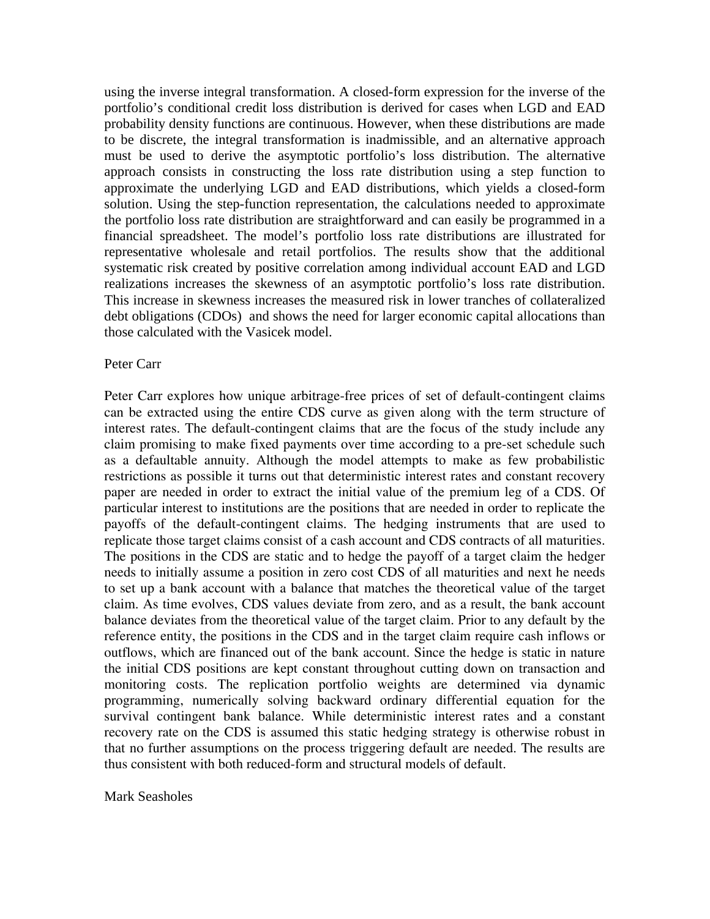using the inverse integral transformation. A closed-form expression for the inverse of the portfolio's conditional credit loss distribution is derived for cases when LGD and EAD probability density functions are continuous. However, when these distributions are made to be discrete, the integral transformation is inadmissible, and an alternative approach must be used to derive the asymptotic portfolio's loss distribution. The alternative approach consists in constructing the loss rate distribution using a step function to approximate the underlying LGD and EAD distributions, which yields a closed-form solution. Using the step-function representation, the calculations needed to approximate the portfolio loss rate distribution are straightforward and can easily be programmed in a financial spreadsheet. The model's portfolio loss rate distributions are illustrated for representative wholesale and retail portfolios. The results show that the additional systematic risk created by positive correlation among individual account EAD and LGD realizations increases the skewness of an asymptotic portfolio's loss rate distribution. This increase in skewness increases the measured risk in lower tranches of collateralized debt obligations (CDOs) and shows the need for larger economic capital allocations than those calculated with the Vasicek model.

### Peter Carr

Peter Carr explores how unique arbitrage-free prices of set of default-contingent claims can be extracted using the entire CDS curve as given along with the term structure of interest rates. The default-contingent claims that are the focus of the study include any claim promising to make fixed payments over time according to a pre-set schedule such as a defaultable annuity. Although the model attempts to make as few probabilistic restrictions as possible it turns out that deterministic interest rates and constant recovery paper are needed in order to extract the initial value of the premium leg of a CDS. Of particular interest to institutions are the positions that are needed in order to replicate the payoffs of the default-contingent claims. The hedging instruments that are used to replicate those target claims consist of a cash account and CDS contracts of all maturities. The positions in the CDS are static and to hedge the payoff of a target claim the hedger needs to initially assume a position in zero cost CDS of all maturities and next he needs to set up a bank account with a balance that matches the theoretical value of the target claim. As time evolves, CDS values deviate from zero, and as a result, the bank account balance deviates from the theoretical value of the target claim. Prior to any default by the reference entity, the positions in the CDS and in the target claim require cash inflows or outflows, which are financed out of the bank account. Since the hedge is static in nature the initial CDS positions are kept constant throughout cutting down on transaction and monitoring costs. The replication portfolio weights are determined via dynamic programming, numerically solving backward ordinary differential equation for the survival contingent bank balance. While deterministic interest rates and a constant recovery rate on the CDS is assumed this static hedging strategy is otherwise robust in that no further assumptions on the process triggering default are needed. The results are thus consistent with both reduced-form and structural models of default.

#### Mark Seasholes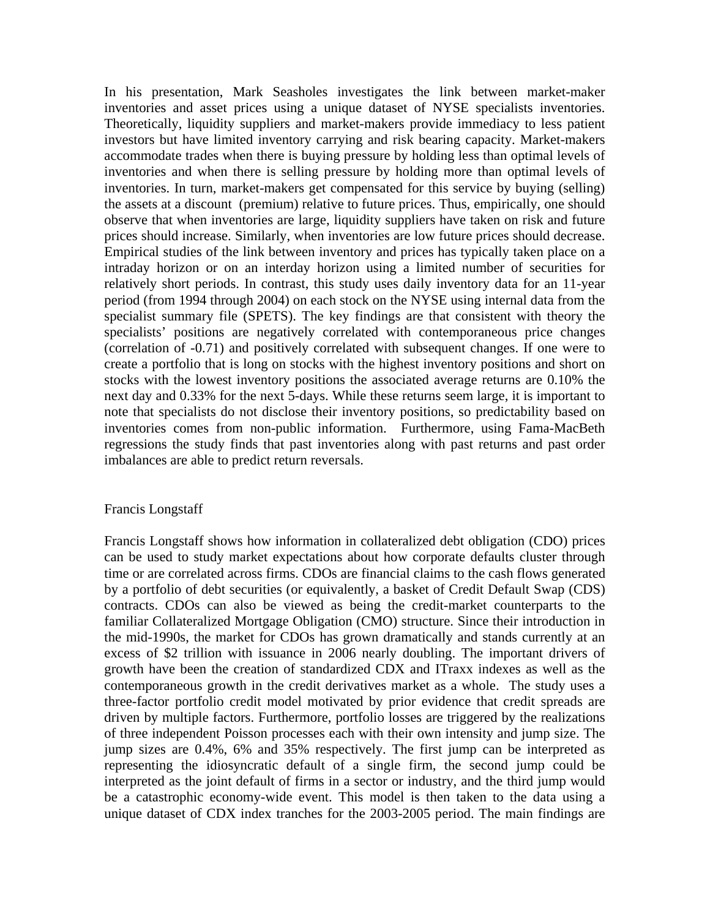In his presentation, Mark Seasholes investigates the link between market-maker inventories and asset prices using a unique dataset of NYSE specialists inventories. Theoretically, liquidity suppliers and market-makers provide immediacy to less patient investors but have limited inventory carrying and risk bearing capacity. Market-makers accommodate trades when there is buying pressure by holding less than optimal levels of inventories and when there is selling pressure by holding more than optimal levels of inventories. In turn, market-makers get compensated for this service by buying (selling) the assets at a discount (premium) relative to future prices. Thus, empirically, one should observe that when inventories are large, liquidity suppliers have taken on risk and future prices should increase. Similarly, when inventories are low future prices should decrease. Empirical studies of the link between inventory and prices has typically taken place on a intraday horizon or on an interday horizon using a limited number of securities for relatively short periods. In contrast, this study uses daily inventory data for an 11-year period (from 1994 through 2004) on each stock on the NYSE using internal data from the specialist summary file (SPETS). The key findings are that consistent with theory the specialists' positions are negatively correlated with contemporaneous price changes (correlation of -0.71) and positively correlated with subsequent changes. If one were to create a portfolio that is long on stocks with the highest inventory positions and short on stocks with the lowest inventory positions the associated average returns are 0.10% the next day and 0.33% for the next 5-days. While these returns seem large, it is important to note that specialists do not disclose their inventory positions, so predictability based on inventories comes from non-public information. Furthermore, using Fama-MacBeth regressions the study finds that past inventories along with past returns and past order imbalances are able to predict return reversals.

# Francis Longstaff

Francis Longstaff shows how information in collateralized debt obligation (CDO) prices can be used to study market expectations about how corporate defaults cluster through time or are correlated across firms. CDOs are financial claims to the cash flows generated by a portfolio of debt securities (or equivalently, a basket of Credit Default Swap (CDS) contracts. CDOs can also be viewed as being the credit-market counterparts to the familiar Collateralized Mortgage Obligation (CMO) structure. Since their introduction in the mid-1990s, the market for CDOs has grown dramatically and stands currently at an excess of \$2 trillion with issuance in 2006 nearly doubling. The important drivers of growth have been the creation of standardized CDX and ITraxx indexes as well as the contemporaneous growth in the credit derivatives market as a whole. The study uses a three-factor portfolio credit model motivated by prior evidence that credit spreads are driven by multiple factors. Furthermore, portfolio losses are triggered by the realizations of three independent Poisson processes each with their own intensity and jump size. The jump sizes are 0.4%, 6% and 35% respectively. The first jump can be interpreted as representing the idiosyncratic default of a single firm, the second jump could be interpreted as the joint default of firms in a sector or industry, and the third jump would be a catastrophic economy-wide event. This model is then taken to the data using a unique dataset of CDX index tranches for the 2003-2005 period. The main findings are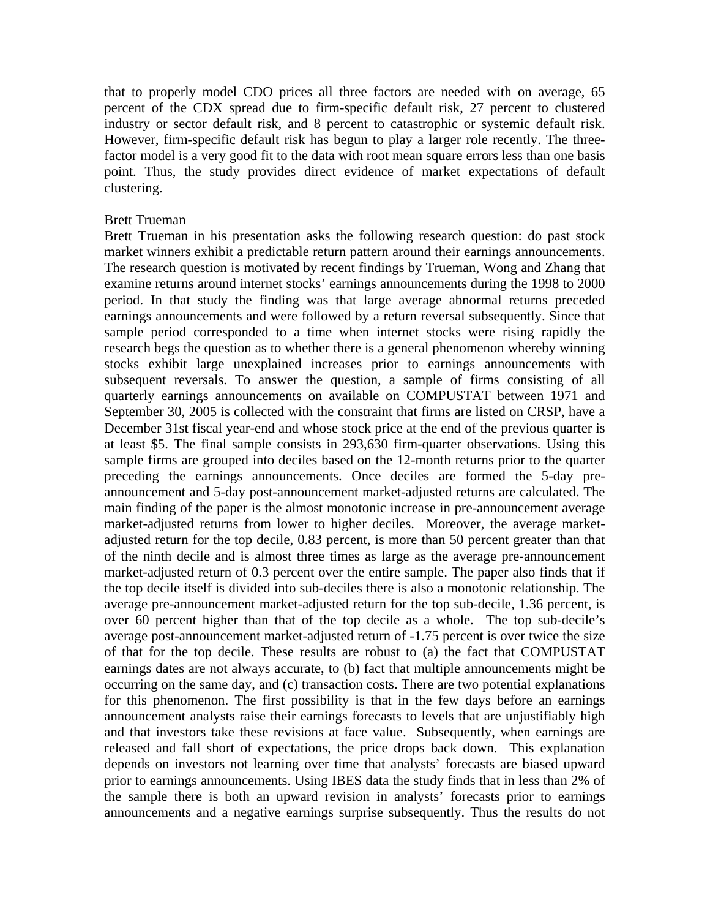that to properly model CDO prices all three factors are needed with on average, 65 percent of the CDX spread due to firm-specific default risk, 27 percent to clustered industry or sector default risk, and 8 percent to catastrophic or systemic default risk. However, firm-specific default risk has begun to play a larger role recently. The threefactor model is a very good fit to the data with root mean square errors less than one basis point. Thus, the study provides direct evidence of market expectations of default clustering.

### Brett Trueman

Brett Trueman in his presentation asks the following research question: do past stock market winners exhibit a predictable return pattern around their earnings announcements. The research question is motivated by recent findings by Trueman, Wong and Zhang that examine returns around internet stocks' earnings announcements during the 1998 to 2000 period. In that study the finding was that large average abnormal returns preceded earnings announcements and were followed by a return reversal subsequently. Since that sample period corresponded to a time when internet stocks were rising rapidly the research begs the question as to whether there is a general phenomenon whereby winning stocks exhibit large unexplained increases prior to earnings announcements with subsequent reversals. To answer the question, a sample of firms consisting of all quarterly earnings announcements on available on COMPUSTAT between 1971 and September 30, 2005 is collected with the constraint that firms are listed on CRSP, have a December 31st fiscal year-end and whose stock price at the end of the previous quarter is at least \$5. The final sample consists in 293,630 firm-quarter observations. Using this sample firms are grouped into deciles based on the 12-month returns prior to the quarter preceding the earnings announcements. Once deciles are formed the 5-day preannouncement and 5-day post-announcement market-adjusted returns are calculated. The main finding of the paper is the almost monotonic increase in pre-announcement average market-adjusted returns from lower to higher deciles. Moreover, the average marketadjusted return for the top decile, 0.83 percent, is more than 50 percent greater than that of the ninth decile and is almost three times as large as the average pre-announcement market-adjusted return of 0.3 percent over the entire sample. The paper also finds that if the top decile itself is divided into sub-deciles there is also a monotonic relationship. The average pre-announcement market-adjusted return for the top sub-decile, 1.36 percent, is over 60 percent higher than that of the top decile as a whole. The top sub-decile's average post-announcement market-adjusted return of -1.75 percent is over twice the size of that for the top decile. These results are robust to (a) the fact that COMPUSTAT earnings dates are not always accurate, to (b) fact that multiple announcements might be occurring on the same day, and (c) transaction costs. There are two potential explanations for this phenomenon. The first possibility is that in the few days before an earnings announcement analysts raise their earnings forecasts to levels that are unjustifiably high and that investors take these revisions at face value. Subsequently, when earnings are released and fall short of expectations, the price drops back down. This explanation depends on investors not learning over time that analysts' forecasts are biased upward prior to earnings announcements. Using IBES data the study finds that in less than 2% of the sample there is both an upward revision in analysts' forecasts prior to earnings announcements and a negative earnings surprise subsequently. Thus the results do not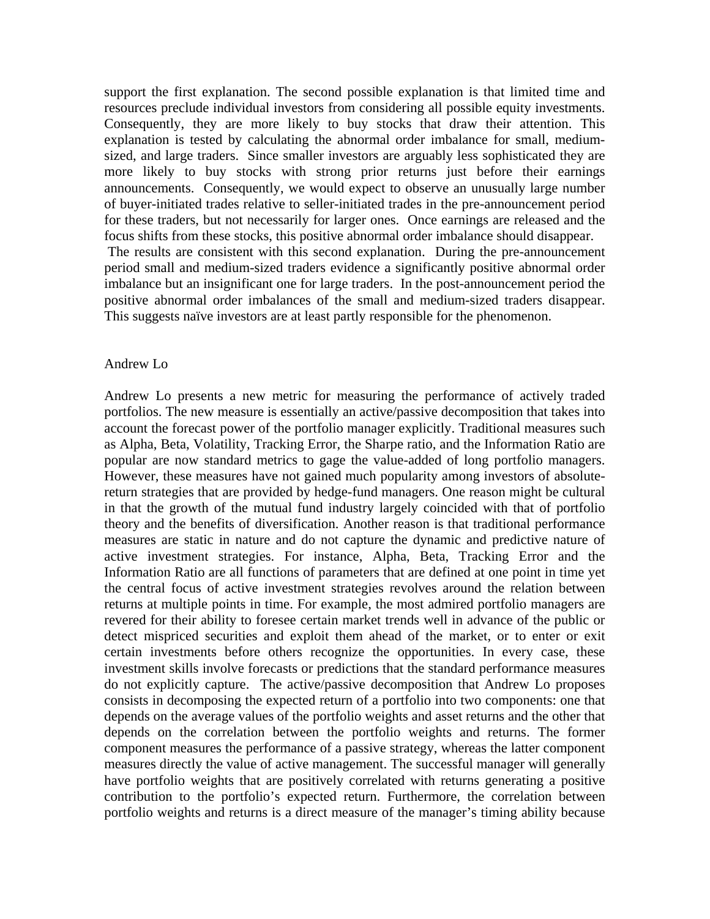support the first explanation. The second possible explanation is that limited time and resources preclude individual investors from considering all possible equity investments. Consequently, they are more likely to buy stocks that draw their attention. This explanation is tested by calculating the abnormal order imbalance for small, mediumsized, and large traders. Since smaller investors are arguably less sophisticated they are more likely to buy stocks with strong prior returns just before their earnings announcements. Consequently, we would expect to observe an unusually large number of buyer-initiated trades relative to seller-initiated trades in the pre-announcement period for these traders, but not necessarily for larger ones. Once earnings are released and the focus shifts from these stocks, this positive abnormal order imbalance should disappear. The results are consistent with this second explanation. During the pre-announcement period small and medium-sized traders evidence a significantly positive abnormal order imbalance but an insignificant one for large traders. In the post-announcement period the positive abnormal order imbalances of the small and medium-sized traders disappear. This suggests naïve investors are at least partly responsible for the phenomenon.

# Andrew Lo

Andrew Lo presents a new metric for measuring the performance of actively traded portfolios. The new measure is essentially an active/passive decomposition that takes into account the forecast power of the portfolio manager explicitly. Traditional measures such as Alpha, Beta, Volatility, Tracking Error, the Sharpe ratio, and the Information Ratio are popular are now standard metrics to gage the value-added of long portfolio managers. However, these measures have not gained much popularity among investors of absolutereturn strategies that are provided by hedge-fund managers. One reason might be cultural in that the growth of the mutual fund industry largely coincided with that of portfolio theory and the benefits of diversification. Another reason is that traditional performance measures are static in nature and do not capture the dynamic and predictive nature of active investment strategies. For instance, Alpha, Beta, Tracking Error and the Information Ratio are all functions of parameters that are defined at one point in time yet the central focus of active investment strategies revolves around the relation between returns at multiple points in time. For example, the most admired portfolio managers are revered for their ability to foresee certain market trends well in advance of the public or detect mispriced securities and exploit them ahead of the market, or to enter or exit certain investments before others recognize the opportunities. In every case, these investment skills involve forecasts or predictions that the standard performance measures do not explicitly capture. The active/passive decomposition that Andrew Lo proposes consists in decomposing the expected return of a portfolio into two components: one that depends on the average values of the portfolio weights and asset returns and the other that depends on the correlation between the portfolio weights and returns. The former component measures the performance of a passive strategy, whereas the latter component measures directly the value of active management. The successful manager will generally have portfolio weights that are positively correlated with returns generating a positive contribution to the portfolio's expected return. Furthermore, the correlation between portfolio weights and returns is a direct measure of the manager's timing ability because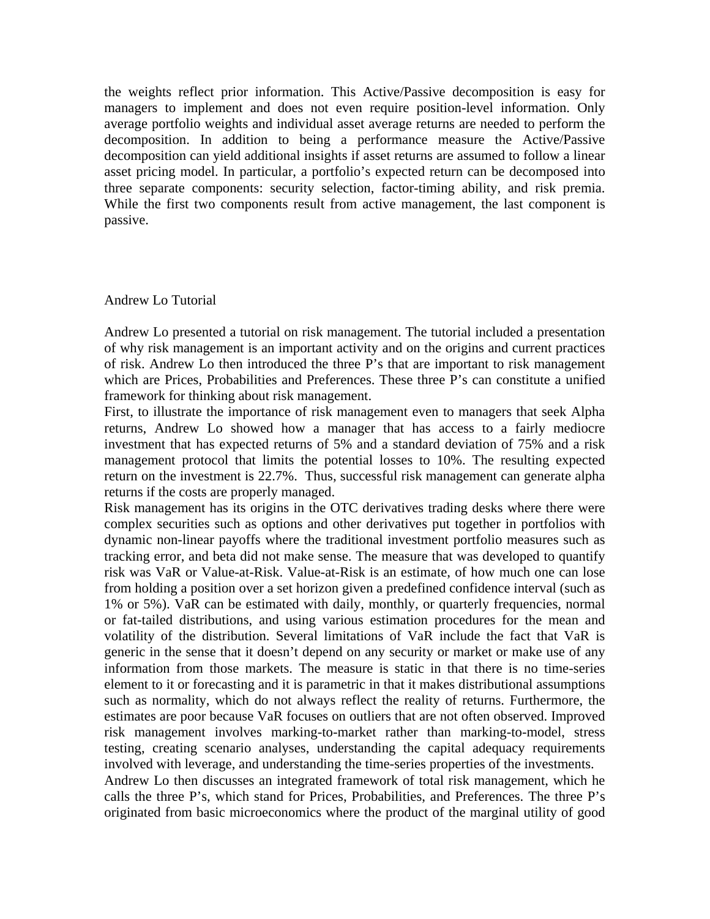the weights reflect prior information. This Active/Passive decomposition is easy for managers to implement and does not even require position-level information. Only average portfolio weights and individual asset average returns are needed to perform the decomposition. In addition to being a performance measure the Active/Passive decomposition can yield additional insights if asset returns are assumed to follow a linear asset pricing model. In particular, a portfolio's expected return can be decomposed into three separate components: security selection, factor-timing ability, and risk premia. While the first two components result from active management, the last component is passive.

### Andrew Lo Tutorial

Andrew Lo presented a tutorial on risk management. The tutorial included a presentation of why risk management is an important activity and on the origins and current practices of risk. Andrew Lo then introduced the three P's that are important to risk management which are Prices, Probabilities and Preferences. These three P's can constitute a unified framework for thinking about risk management.

First, to illustrate the importance of risk management even to managers that seek Alpha returns, Andrew Lo showed how a manager that has access to a fairly mediocre investment that has expected returns of 5% and a standard deviation of 75% and a risk management protocol that limits the potential losses to 10%. The resulting expected return on the investment is 22.7%. Thus, successful risk management can generate alpha returns if the costs are properly managed.

Risk management has its origins in the OTC derivatives trading desks where there were complex securities such as options and other derivatives put together in portfolios with dynamic non-linear payoffs where the traditional investment portfolio measures such as tracking error, and beta did not make sense. The measure that was developed to quantify risk was VaR or Value-at-Risk. Value-at-Risk is an estimate, of how much one can lose from holding a position over a set horizon given a predefined confidence interval (such as 1% or 5%). VaR can be estimated with daily, monthly, or quarterly frequencies, normal or fat-tailed distributions, and using various estimation procedures for the mean and volatility of the distribution. Several limitations of VaR include the fact that VaR is generic in the sense that it doesn't depend on any security or market or make use of any information from those markets. The measure is static in that there is no time-series element to it or forecasting and it is parametric in that it makes distributional assumptions such as normality, which do not always reflect the reality of returns. Furthermore, the estimates are poor because VaR focuses on outliers that are not often observed. Improved risk management involves marking-to-market rather than marking-to-model, stress testing, creating scenario analyses, understanding the capital adequacy requirements involved with leverage, and understanding the time-series properties of the investments.

Andrew Lo then discusses an integrated framework of total risk management, which he calls the three P's, which stand for Prices, Probabilities, and Preferences. The three P's originated from basic microeconomics where the product of the marginal utility of good